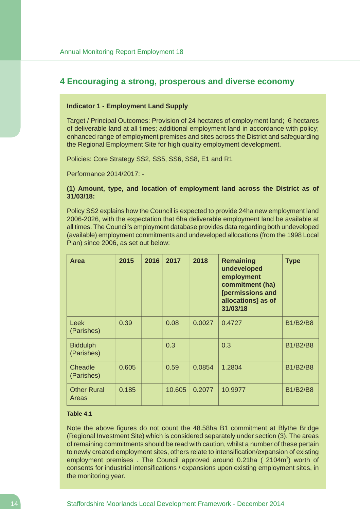# **4 Encouraging a strong, prosperous and diverse economy**

#### **Indicator 1 - Employment Land Supply**

Target / Principal Outcomes: Provision of 24 hectares of employment land; 6 hectares of deliverable land at all times; additional employment land in accordance with policy; enhanced range of employment premises and sites across the District and safeguarding the Regional Employment Site for high quality employment development.

Policies: Core Strategy SS2, SS5, SS6, SS8, E1 and R1

Performance 2014/2017: -

## **(1) Amount, type, and location of employment land across the District as of 31/03/18:**

Policy SS2 explains how the Council is expected to provide 24ha new employment land 2006-2026, with the expectation that 6ha deliverable employment land be available at all times. The Council's employment database provides data regarding both undeveloped (available) employment commitments and undeveloped allocations (from the 1998 Local Plan) since 2006, as set out below:

| <b>Area</b>                   | 2015  | 2016 | 2017   | 2018   | <b>Remaining</b><br>undeveloped<br>employment<br>commitment (ha)<br>[permissions and<br>allocations] as of<br>31/03/18 | <b>Type</b>     |
|-------------------------------|-------|------|--------|--------|------------------------------------------------------------------------------------------------------------------------|-----------------|
| Leek<br>(Parishes)            | 0.39  |      | 0.08   | 0.0027 | 0.4727                                                                                                                 | <b>B1/B2/B8</b> |
| <b>Biddulph</b><br>(Parishes) |       |      | 0.3    |        | 0.3                                                                                                                    | <b>B1/B2/B8</b> |
| Cheadle<br>(Parishes)         | 0.605 |      | 0.59   | 0.0854 | 1.2804                                                                                                                 | <b>B1/B2/B8</b> |
| <b>Other Rural</b><br>Areas   | 0.185 |      | 10.605 | 0.2077 | 10.9977                                                                                                                | <b>B1/B2/B8</b> |

## **Table 4.1**

Note the above figures do not count the 48.58ha B1 commitment at Blythe Bridge (Regional Investment Site) which is considered separately under section (3). The areas of remaining commitments should be read with caution, whilst a number of these pertain to newly created employment sites, others relate to intensification/expansion of existing employment premises. The Council approved around  $0.21$ ha ( $2104m^2$ ) worth of consents for industrial intensifications / expansions upon existing employment sites, in the monitoring year.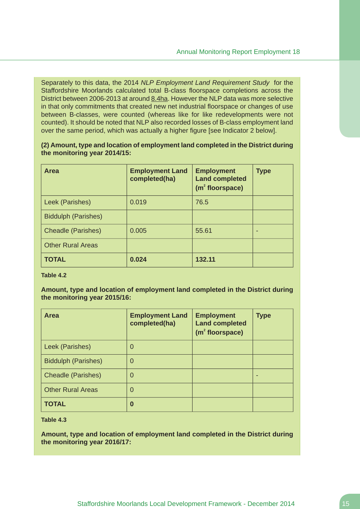Separately to this data, the 2014 *NLP Employment Land Requirement Study* for the Staffordshire Moorlands calculated total B-class floorspace completions across the District between 2006-2013 at around 8.4ha. However the NLP data was more selective in that only commitments that created new net industrial floorspace or changes of use between B-classes, were counted (whereas like for like redevelopments were not counted). It should be noted that NLP also recorded losses of B-class employment land over the same period, which was actually a higher figure [see Indicator 2 below].

**(2) Amount, type and location of employment land completed in the District during the monitoring year 2014/15:**

| <b>Area</b>                | <b>Employment Land</b><br>completed(ha) | <b>Employment</b><br><b>Land completed</b><br>$(m2$ floorspace) | <b>Type</b> |
|----------------------------|-----------------------------------------|-----------------------------------------------------------------|-------------|
| Leek (Parishes)            | 0.019                                   | 76.5                                                            |             |
| <b>Biddulph (Parishes)</b> |                                         |                                                                 |             |
| <b>Cheadle (Parishes)</b>  | 0.005                                   | 55.61                                                           |             |
| <b>Other Rural Areas</b>   |                                         |                                                                 |             |
| <b>TOTAL</b>               | 0.024                                   | 132.11                                                          |             |

**Table 4.2**

**Amount, type and location of employment land completed in the District during the monitoring year 2015/16:**

| <b>Area</b>                | <b>Employment Land</b><br>completed(ha) | <b>Employment</b><br><b>Land completed</b><br>(m <sup>2</sup> floorspace) | <b>Type</b> |
|----------------------------|-----------------------------------------|---------------------------------------------------------------------------|-------------|
| Leek (Parishes)            | 0                                       |                                                                           |             |
| <b>Biddulph (Parishes)</b> | $\Omega$                                |                                                                           |             |
| <b>Cheadle (Parishes)</b>  | $\Omega$                                |                                                                           |             |
| <b>Other Rural Areas</b>   | $\Omega$                                |                                                                           |             |
| <b>TOTAL</b>               | $\bf{0}$                                |                                                                           |             |

**Table 4.3**

**Amount, type and location of employment land completed in the District during the monitoring year 2016/17:**